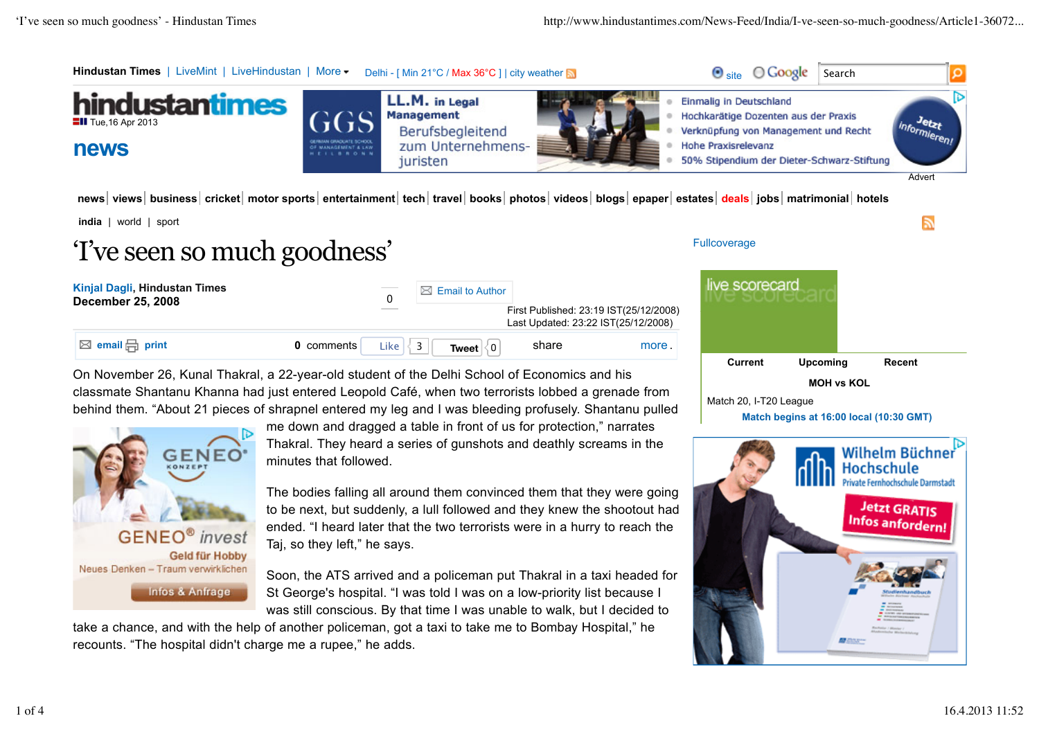

take a chance, and with the help of another policeman, got a taxi to take me to Bombay Hospital," he recounts. "The hospital didn't charge me a rupee," he adds.